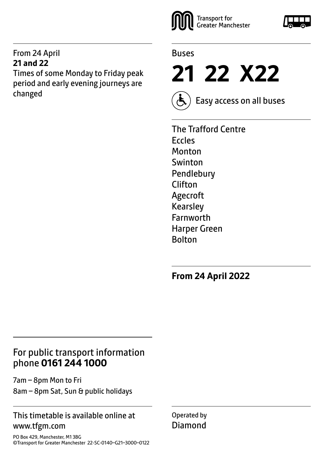#### From 24 April **21 and 22**

Times of some Monday to Friday peak period and early evening journeys are changed





**21 22 X22**



Easy access on all buses

The Trafford Centre Eccles Monton Swinton Pendlebury Clifton Agecroft Kearsley Farnworth Harper Green **Bolton** 

**From 24 April 2022**

## For public transport information phone **0161 244 1000**

7am – 8pm Mon to Fri 8am – 8pm Sat, Sun & public holidays

#### This timetable is available online at www.tfgm.com

PO Box 429, Manchester, M1 3BG ©Transport for Greater Manchester 22-SC-0140–G21–3000–0122 Operated by Diamond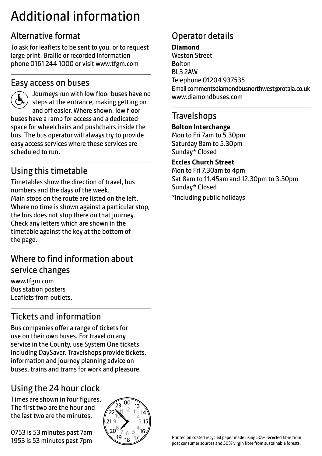## Additional information

## Alternative format

To ask for leaflets to be sent to you, or to request large print, Braille or recorded information phone 0161 244 1000 or visit www.tfgm.com

#### Easy access on buses



 Journeys run with low floor buses have no steps at the entrance, making getting on and off easier. Where shown, low floor buses have a ramp for access and a dedicated space for wheelchairs and pushchairs inside the bus. The bus operator will always try to provide easy access services where these services are scheduled to run.

## Using this timetable

Timetables show the direction of travel, bus numbers and the days of the week. Main stops on the route are listed on the left. Where no time is shown against a particular stop, the bus does not stop there on that journey. Check any letters which are shown in the timetable against the key at the bottom of the page.

## Where to find information about service changes

www.tfgm.com Bus station posters Leaflets from outlets.

## Tickets and information

Bus companies offer a range of tickets for use on their own buses. For travel on any service in the County, use System One tickets, including DaySaver. Travelshops provide tickets, information and journey planning advice on buses, trains and trams for work and pleasure.

## Using the 24 hour clock

Times are shown in four figures. The first two are the hour and the last two are the minutes.

0753 is 53 minutes past 7am 1953 is 53 minutes past 7pm



## Operator details

#### **Diamond**

Weston Street Bolton BL3 2AW Telephone 01204 937535 Email commentsdiamondbusnorthwest@rotala.co.uk www.diamondbuses.com

#### **Travelshops**

#### **Bolton Interchange**

Mon to Fri 7am to 5.30pm Saturday 8am to 5.30pm Sunday\* Closed

#### **Eccles Church Street**

Mon to Fri 7.30am to 4pm Sat 8am to 11.45am and 12.30pm to 3.30pm Sunday\* Closed

\*Including public holidays

Printed on coated recycled paper made using 50% recycled fibre from post consumer sources and 50% virgin fibre from sustainable forests.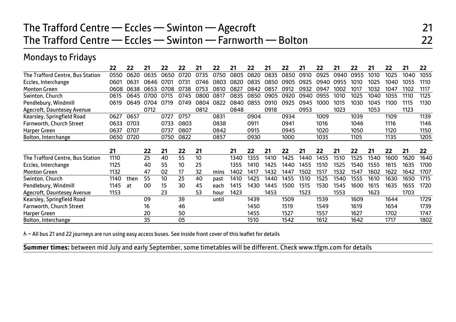## The Trafford Centre — Eccles — Swinton — Agecroft 21 The Trafford Centre — Eccles — Swinton — Farnworth — Bolton 22

#### Mondays to Fridays

|                                  | 22   | 22   | 21   | 22   | 22   | 21   | 22    | 21   | 22   | 21   | 22   | 21   | 22   | 21   | 22   | 21   | 22   | 21   | 22   |
|----------------------------------|------|------|------|------|------|------|-------|------|------|------|------|------|------|------|------|------|------|------|------|
| The Trafford Centre, Bus Station | 0550 | 0620 | 0635 | 0650 | 0720 | 0735 | 0750  | 0805 | 0820 | 0835 | 0850 | 0910 | 0925 | 0940 | 0955 | 1010 | 1025 | 1040 | 1055 |
| Eccles, Interchange              | 0601 | 0631 | 0646 | በ701 | 0731 | በ746 | 0803  | በጸ2ር | 0835 | 0850 | 0905 | ሰዓ25 | 0940 | 0955 | 1010 | 1025 | 1040 | 1055 | 1110 |
| <b>Monton Green</b>              | 0608 | 0638 | 0653 | 0708 | 0738 | 0753 | 0810  | 0827 | 0842 | 0857 | 0912 | 0932 | 0947 | 1002 | 1017 | 1032 | 1047 | 102  | 1117 |
| Swinton, Church                  | 0615 | 0645 |      | 0715 | 0745 | 0800 | 0817  | 0835 | 0850 | 0905 | 0920 | ∩۹4∩ | 0955 | 1010 | 1025 | 1040 | 1055 | 1110 | 1125 |
| Pendlebury, Windmill             | 0619 | 0649 | 0704 | 0719 | 0749 | 0804 | 0822  | 0840 | 0855 | 0910 | 0925 | 0945 | 1000 | 1015 | 1030 | 1045 | 1100 | 1115 | 1130 |
| Agecroft, Dauntesey Avenue       |      |      | 0712 |      |      | 0812 |       | 0848 |      | 0918 |      | 0953 |      | 1023 |      | 1053 |      | 1123 |      |
| Kearsley, Springfield Road       | 0627 | 0657 |      | 0727 | 0757 |      | 0831  |      | 0904 |      | 0934 |      | 1009 |      | 1039 |      | 1109 |      | 1139 |
| Farnworth, Church Street         | 0633 | 0703 |      | 0733 | 0803 |      | 0838  |      | 0911 |      | 0941 |      | 1016 |      | 1046 |      | 1116 |      | 1146 |
| Harper Green                     | 0637 | 0707 |      | 0737 | 0807 |      | 0842  |      | 0915 |      | 0945 |      | 1020 |      | 1050 |      | 1120 |      | 1150 |
| Bolton, Interchange              | 0650 | 0720 |      | 0750 | 0822 |      | 0857  |      | 0930 |      | 1000 |      | 1035 |      | 1105 |      | 1135 |      | 1205 |
|                                  |      |      |      |      |      |      |       |      |      |      |      |      |      |      |      |      |      |      |      |
|                                  | 21   |      | 22   | 21   | 22   | 21   |       | 21   | 22   | 21   | 22   | 21   | 22   | 21   | 22   | 21   | 22   | 21   | 22   |
| The Trafford Centre, Bus Station | 1110 |      | 25   | 40   | 55   | 10   |       | 1340 | 1355 | 1410 | 1425 | 1440 | 1455 | 1510 | 1525 | 1540 | 1600 | 1620 | 1640 |
|                                  |      |      |      |      |      |      |       |      |      |      |      |      |      |      |      |      |      |      |      |
| Eccles, Interchange              | 1125 |      | 40   | 55   | 10   | 25   |       | 1355 | 1410 | 1425 | 1440 | 1455 | 1510 | 1525 | 1540 | 1555 | 1615 | 1635 | 1700 |
| <b>Monton Green</b>              | 1132 |      | 47   | 02   | 17   | 32   | mins  | 1402 | 1417 | 1432 | 1447 | 1502 | 1517 | 1532 | 1547 | 1602 | 1622 | 1642 | 1707 |
| Swinton, Church                  | 1140 | then | 55   | 10   | 25   | 40   | past  | 1410 | 1425 | 1440 | 1455 | 1510 | 1525 | 1540 | 1555 | 1610 | 1630 | 1650 | 1715 |
| Pendlebury, Windmill             | 1145 | at   | 00   | 15   | 30   | 45   | each  | 1415 | 1430 | 1445 | 1500 | 1515 | 1530 | 1545 | 1600 | 1615 | 1635 | 1655 | 1720 |
| Agecroft, Dauntesey Avenue       | 1153 |      |      | 23   |      | 53   | hour  | 1423 |      | 1453 |      | 1523 |      | 1553 |      | 1623 |      | 1703 |      |
| Kearsley, Springfield Road       |      |      | 09   |      | 39   |      | until |      | 1439 |      | 1509 |      | 1539 |      | 1609 |      | 1644 |      | 1729 |
| Farnworth, Church Street         |      |      | 16   |      | 46   |      |       |      | 1450 |      | 1519 |      | 1549 |      | 1619 |      | 1654 |      | 1739 |
| Harper Green                     |      |      | 20   |      | 50   |      |       |      | 1455 |      | 1527 |      | 1557 |      | 1627 |      | 1702 |      | 1747 |

& - All bus 21 and 22 journeys are run using easy access buses. See inside front cover of this leaflet for details

**Summer times:** between mid July and early September, some timetables will be different. Check www.tfgm.com for details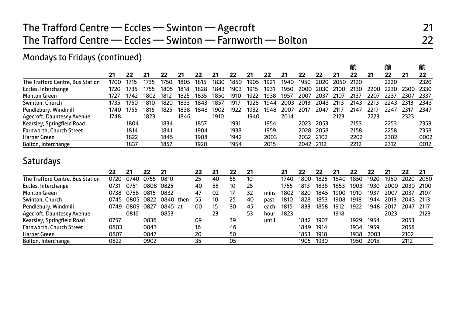## The Trafford Centre — Eccles — Swinton — Agecroft **Communist 21** The Trafford Centre — Eccles — Swinton — Farnworth — Bolton 22

#### Mondays to Fridays (continued)

|                                  |      |      |      |      |      |      |      |      |      |      |      |           |      |      | M    |      | M    |      | M    |
|----------------------------------|------|------|------|------|------|------|------|------|------|------|------|-----------|------|------|------|------|------|------|------|
|                                  | 21   | 22   | 21   | 22   | 21   | 22   | 21   | 22   | 21   | 22   | 21   | 22        | 22   | 21   | 22   | 21   | 22   | 21   | 22   |
| The Trafford Centre, Bus Station | 1700 | 1715 | 1735 | 1750 | 1805 | 1815 | 1830 | 1850 | 1905 | 1921 | 1940 | 1950      | 2020 | 2050 | 2120 |      | 2220 |      | 2320 |
| Eccles, Interchange              | 1720 | 1735 | 1755 | 1805 | 1818 | 1828 | 1843 | 1903 | 1915 | 1931 | 1950 | 2000      | 2030 | 2100 | 2130 | 2200 | 2230 | 2300 | 2330 |
| <b>Monton Green</b>              | 1727 | 1742 | 1802 | 1812 | 1825 | 1835 | 1850 | 1910 | 1922 | 1938 | 1957 | 2007      | 2037 | 2107 | 2137 | 2207 | 2237 | 2307 | 2337 |
| Swinton, Church                  | 1735 | 1750 | 1810 | 1820 | 1833 | 1843 | 1857 | 1917 | 1928 | 1944 | 2003 | 2013      | 2043 | 2113 | 2143 | 2213 | 2243 | 2313 | 2343 |
| Pendlebury, Windmill             | 1740 | 1755 | 1815 | 1825 | 1838 | 1848 | 1902 | 1922 | 1932 | 1948 | 2007 | 2017      | 2047 | 2117 | 2147 | 2217 | 2247 | 2317 | 2347 |
| Agecroft, Dauntesey Avenue       | 1748 |      | 1823 |      | 1846 |      | 1910 |      | 1940 |      | 2014 |           |      | 2123 |      | 2223 |      | 2323 |      |
| Kearsley, Springfield Road       |      | 1804 |      | 1834 |      | 1857 |      | 1931 |      | 1954 |      | 2023      | 2053 |      | 2153 |      | 2253 |      | 2353 |
| Farnworth, Church Street         |      | 1814 |      | 1841 |      | 1904 |      | 1938 |      | 1959 |      | 2028      | 2058 |      | 2158 |      | 2258 |      | 2358 |
| Harper Green                     |      | 1822 |      | 1845 |      | 1908 |      | 1942 |      | 2003 |      | 2032 2102 |      |      | 2202 |      | 2302 |      | 0002 |
| Bolton, Interchange              |      | 1837 |      | 1857 |      | 1920 |      | 1954 |      | 2015 |      | 2042 2112 |      |      | 2212 |      | 2312 |      | 0012 |

#### **Saturdays**

|                                  | 22   | 21   | 22   | 21      |      | 22 |    | 22 | 21 |       | 21   |      | 22   |      | 22   | 22   | 21    |           | 21    |
|----------------------------------|------|------|------|---------|------|----|----|----|----|-------|------|------|------|------|------|------|-------|-----------|-------|
| The Trafford Centre, Bus Station | 0720 | 0740 | 0755 | 0810    |      | 25 | 40 | 55 | 10 |       | 1740 | 1800 | 1825 | 1840 | 1850 | 1920 | 1950  | 2020      | 2050  |
| Eccles, Interchange              | 0731 | 075' | 0808 | 0825    |      | 40 | 55 | 10 | 25 |       | 1755 | 1813 | 1838 | 1853 | 1903 | 1930 | 2000. | 2030      | 2100  |
| <b>Monton Green</b>              | 0738 | 0758 | 0815 | 0832    |      | 47 | 02 | 17 | 32 | mins  | 1802 | 1820 | 1845 | 1900 | 1910 | 1937 | 2007  | 2037      | -2107 |
| Swinton, Church                  | 0745 | 0805 | 0822 | 0840    | then | 55 | 10 | 25 | 40 | past  | 1810 | 1828 | 1853 | 1908 | 1918 | 1944 | 2013  | 2043 2113 |       |
| Pendlebury, Windmill             | 0749 | 0809 | 0827 | 0845 at |      | 00 | 15 | 30 | 45 | each  | 1815 | 1833 | 1858 | 1912 | 1922 | 1948 | 2017  | 2047      | -2117 |
| Agecroft, Dauntesey Avenue       |      | 0816 |      | 0853    |      |    | 23 |    | 53 | hour  | 1823 |      |      | 1918 |      |      | 2023  |           | 2123  |
| Kearsley, Springfield Road       | 0757 |      | 0836 |         |      | 09 |    | 39 |    | until |      | 1842 | 1907 |      | 1929 | 1954 |       | 2053      |       |
| Farnworth, Church Street         | 0803 |      | 0843 |         |      | 16 |    | 46 |    |       |      | 1849 | 1914 |      | 1934 | 1959 |       | 2058      |       |
| Harper Green                     | 0807 |      | 0847 |         |      | 20 |    | 50 |    |       |      | 1853 | 1918 |      | 1938 | 2003 |       | 2102      |       |
| Bolton, Interchange              | 0822 |      | 0902 |         |      | 35 |    | 05 |    |       |      | 1905 | 1930 |      | 1950 | 2015 |       | 2112      |       |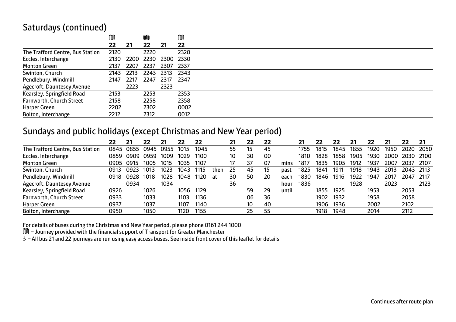#### Saturdays (continued)

|                                  | M         |      | M                   |      | M      |
|----------------------------------|-----------|------|---------------------|------|--------|
|                                  | 22        | 21   | 22                  | 21   | 22     |
| The Trafford Centre, Bus Station | 2120      |      | 2220                |      | 2320   |
| Eccles, Interchange              | 2130      |      | 2200 2230 2300 2330 |      |        |
| <b>Monton Green</b>              | 2137      | 2207 | 2237                | 2307 | - 2337 |
| Swinton, Church                  | 2143 2213 |      | 2243 2313 2343      |      |        |
| Pendlebury, Windmill             | 2147      | 2217 | 2247 2317 2347      |      |        |
| Agecroft, Dauntesey Avenue       |           | 2223 |                     | 2323 |        |
| Kearsley, Springfield Road       | 2153      |      | 2253                |      | 2353   |
| Farnworth, Church Street         | 2158      |      | 2258                |      | 2358   |
| Harper Green                     | 2202      |      | 2302                |      | 0002   |
| Bolton, Interchange              | 2212      |      | 2312                |      | 0012   |

#### Sundays and public holidays (except Christmas and New Year period)

|                                  | 22   | 21   | 22   | 21   | 22   | 22   |      | 21 | 22 | 22 |       |      | 22   | 22   | 21   | 22   | 21   | 22   | 21   |
|----------------------------------|------|------|------|------|------|------|------|----|----|----|-------|------|------|------|------|------|------|------|------|
| The Trafford Centre, Bus Station | 0845 | 0855 | 0945 | 0955 | 1015 | 1045 |      | 55 | 15 | 45 |       | 1755 | 1815 | 1845 | 1855 | 1920 | 1950 | 2020 | 2050 |
| Eccles, Interchange              | 0859 | 0909 | 0959 | 1009 | 1029 | 1100 |      | 10 | 30 | 00 |       | 1810 | 1828 | 1858 | 1905 | 1930 | 2000 | 2030 | 2100 |
| <b>Monton Green</b>              | 0905 | 0915 | 1005 | 1015 | 1035 | 1107 |      |    | 37 | 07 | mins  | 1817 | 1835 | 1905 | 1912 | 1937 | 2007 | 2037 | 2107 |
| Swinton, Church                  | 0913 | 0923 | 1013 | 1023 | 1043 | 1115 | then | 25 | 45 | 15 | past  | 1825 | 1841 | 1911 | 1918 | 1943 | 2013 | 2043 | 2113 |
| Pendlebury, Windmill             | 0918 | 0928 | 1018 | 1028 | 1048 | 1120 | at   | 30 | 50 | 20 | each  | 1830 | 1846 | 1916 | 1922 | 1947 | 2017 | 2047 | 2117 |
| Agecroft, Dauntesey Avenue       |      | 0934 |      | 1034 |      |      |      | 36 |    |    | hour  | 1836 |      |      | 1928 |      | 2023 |      | 2123 |
| Kearsley, Springfield Road       | 0926 |      | 1026 |      | 1056 | 1129 |      |    | 59 | 29 | until |      | 1855 | 1925 |      | 1953 |      | 2053 |      |
| Farnworth, Church Street         | 0933 |      | 1033 |      | 1103 | 1136 |      |    | 06 | 36 |       |      | 1902 | 1932 |      | 1958 |      | 2058 |      |
| Harper Green                     | 0937 |      | 1037 |      | 1107 | 1140 |      |    | 10 | 40 |       |      | 1906 | 1936 |      | 2002 |      | 2102 |      |
| Bolton, Interchange              | 0950 |      | 1050 |      | 1120 | 1155 |      |    | 25 | 55 |       |      | 1918 | 1948 |      | 2014 |      | 2112 |      |

For details of buses during the Christmas and New Year period, please phone 0161 244 1000

M – Journey provided with the financial support of Transport for Greater Manchester

W– All bus 21 and 22 journeys are run using easy access buses. See inside front cover of this leaflet for details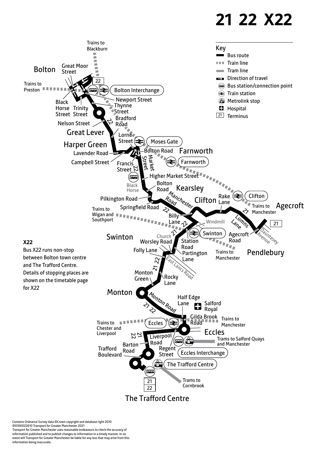# **21 22 X22**



Contains Ordnance Survey data ©Crown copyright and database right 2010 ©0100022610 Transport for Greater Manchester 2021 Transport for Greater Manchester uses reasonable endeavours to check the accuracy of information published and to publish changes to information in a timely manner. In no event will Transport for Greater Manchester be liable for any loss that may arise from this information being inaccurate.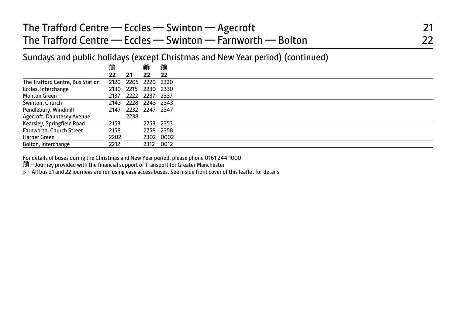| The Trafford Centre — Eccles — Swinton — Agecroft           |  |
|-------------------------------------------------------------|--|
| The Trafford Centre — Eccles — Swinton — Farnworth — Bolton |  |

Sundays and public holidays (except Christmas and New Year period) (continued)

|                                  | M    |                     | ⋒  | M         |
|----------------------------------|------|---------------------|----|-----------|
|                                  | 22   | 21                  | 22 | 22        |
| The Trafford Centre, Bus Station | 2120 | 2205 2220 2320      |    |           |
| Eccles, Interchange              |      | 2130 2215 2230 2330 |    |           |
| Monton Green                     |      | 2137 2222 2237 2337 |    |           |
| Swinton, Church                  |      | 2143 2228 2243 2343 |    |           |
| Pendlebury, Windmill             | 2147 | 2232 2247 2347      |    |           |
| Agecroft, Dauntesey Avenue       |      | 2238                |    |           |
| Kearsley, Springfield Road       | 2153 |                     |    | 2253 2353 |
| Farnworth, Church Street         | 2158 |                     |    | 2258 2358 |
| Harper Green                     | 2202 |                     |    | 2302 0002 |
| Bolton, Interchange              | 2212 |                     |    | 2312 0012 |

For details of buses during the Christmas and New Year period, please phone 0161 244 1000

M – Journey provided with the financial support of Transport for Greater Manchester

& - All bus 21 and 22 journeys are run using easy access buses. See inside front cover of this leaflet for details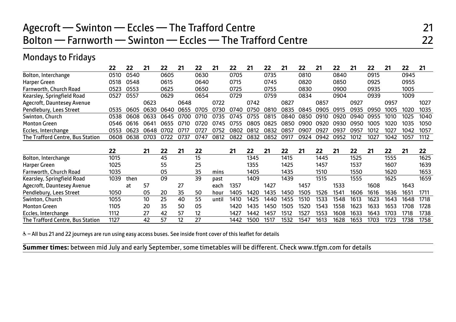## Agecroft — Swinton — Eccles — The Trafford Centre 21 Bolton — Farnworth — Swinton — Eccles — The Trafford Centre 22

## Mondays to Fridays

|                                  | 22   | 22          | 21   | 22   | 21   | 22   | 21    | 22   | 21   | 22   | 21   | 22   | 21   | 22   | 21   | 22   | 21   | 22   | 21   |
|----------------------------------|------|-------------|------|------|------|------|-------|------|------|------|------|------|------|------|------|------|------|------|------|
| Bolton, Interchange              | 0510 | 0540        |      | 0605 |      | 0630 |       | 0705 |      | 0735 |      | 0810 |      | 0840 |      | 0915 |      | 0945 |      |
| Harper Green                     | 0518 | 0548        |      | 0615 |      | 0640 |       | 0715 |      | 0745 |      | 0820 |      | 0850 |      | 0925 |      | 0955 |      |
| Farnworth, Church Road           | 0523 | 0553        |      | 0625 |      | 0650 |       | 0725 |      | 0755 |      | 0830 |      | 0900 |      | 0935 |      | 1005 |      |
| Kearsley, Springfield Road       | 0527 | 0557        |      | 0629 |      | 0654 |       | 0729 |      | 0759 |      | 0834 |      | 0904 |      | 0939 |      | 1009 |      |
| Agecroft, Dauntesey Avenue       |      |             | 0623 |      | 0648 |      | 0722  |      | 0742 |      | 0827 |      | 0857 |      | 0927 |      | 0957 |      | 1027 |
| Pendlebury, Lees Street          | 0535 | 0605        | 0630 | 0640 | 0655 | 0705 | 0730  | 0740 | 0750 | 0810 | 0835 | 0845 | 0905 | 0915 | 0935 | 0950 | 1005 | 1020 | 1035 |
| Swinton, Church                  | 0538 | <b>0608</b> | 0633 | 0645 | 0700 | 0710 | 0735  | 0745 | 0755 | 0815 | 0840 | 0850 | 0910 | 0920 | 0940 | 0955 | 1010 | 1025 | 1040 |
| <b>Monton Green</b>              | 0546 | 0616        | በ641 | 0655 | 0710 | 0720 | 0745  | 0755 | 0805 | 0825 | 0850 | 0900 | 0920 | 0930 | 0950 | 1005 | 1020 | 1035 | 1050 |
| Eccles, Interchange              | 0553 | 0623        | 0648 | 0702 | O717 | 0727 | 0752  | 0802 | 0812 | 0832 | 0857 | 0907 | 0927 | 0937 | 0957 | 1012 | 1027 | 1042 | 1057 |
| The Trafford Centre, Bus Station | 0608 | 0638        | 0703 | 0722 | 0737 | 0747 | 0812  | 0822 | 0832 | 0852 | 0917 | 0924 | 0942 | 0952 | 1012 | 1027 | 1042 | 1057 | 1112 |
|                                  |      |             |      |      |      |      |       |      |      |      |      |      |      |      |      |      |      |      |      |
|                                  |      |             |      |      |      |      |       |      |      |      |      |      |      |      |      |      |      |      |      |
|                                  | 22   |             | 21   | 22   | 21   | 22   |       | 21   | 22   | 21   | 22   | 21   | 22   | 21   | 22   | 21   | 22   | 21   | 22   |
| Bolton, Interchange              | 1015 |             |      | 45   |      | 15   |       |      | 1345 |      | 1415 |      | 1445 |      | 1525 |      | 1555 |      | 1625 |
| Harper Green                     | 1025 |             |      | 55   |      | 25   |       |      | 1355 |      | 1425 |      | 1457 |      | 1537 |      | 1607 |      | 1639 |
| Farnworth, Church Road           | 1035 |             |      | 05   |      | 35   | mins  |      | 1405 |      | 1435 |      | 1510 |      | 1550 |      | 1620 |      | 1653 |
| Kearsley, Springfield Road       | 1039 | then        |      | 09   |      | 39   | past  |      | 1409 |      | 1439 |      | 1515 |      | 1555 |      | 1625 |      | 1659 |
| Agecroft, Dauntesey Avenue       |      | at          | 57   |      | 27   |      | each  | 1357 |      | 1427 |      | 1457 |      | 1533 |      | 1608 |      | 1643 |      |
| Pendlebury, Lees Street          | 1050 |             | 05   | 20   | 35   | 50   | hour  | 1405 | 1420 | 1435 | 1450 | 1505 | 1526 | 1541 | 1606 | 1616 | 1636 | 1651 | 1711 |
| Swinton, Church                  | 1055 |             | 10   | 25   | 40   | 55   | until | 1410 | 1425 | 1440 | 1455 | 1510 | 1533 | 1548 | 1613 | 1623 | 1643 | 1648 | 1718 |
| <b>Monton Green</b>              | 1105 |             | 20   | 35   | 50   | 05   |       | 1420 | 1435 | 1450 | 1505 | 1520 | 1543 | 1558 | 1623 | 1633 | 1653 | 1708 | 1728 |
| Eccles, Interchange              | 1112 |             | 27   | 42   | 57   | 12   |       | 1427 | 1442 | 1457 | 1512 | 1527 | 1553 | 1608 | 1633 | 1643 | 1703 | 1718 | 1738 |

& - All bus 21 and 22 journeys are run using easy access buses. See inside front cover of this leaflet for details

I

**Summer times:** between mid July and early September, some timetables will be different. Check www.tfgm.com for details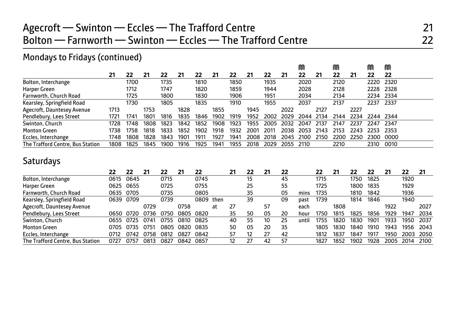## Agecroft — Swinton — Eccles — The Trafford Centre 21 Bolton — Farnworth — Swinton — Eccles — The Trafford Centre 22

#### Mondays to Fridays (continued)

|                                  |      |      |      |      |      |      |      |      |      |      |      | M    |      | M    |      | M         | M    |
|----------------------------------|------|------|------|------|------|------|------|------|------|------|------|------|------|------|------|-----------|------|
|                                  | 21   | 22   | 21   | 22   | 21   | 22   | 21   | 22   | 21   | 22   | -21  | 22   | 21   | 22   | 21   | 22        | 22   |
| Bolton, Interchange              |      | 1700 |      | 1735 |      | 1810 |      | 1850 |      | 1935 |      | 2020 |      | 2120 |      | 2220      | 2320 |
| Harper Green                     |      | 1712 |      | 1747 |      | 1820 |      | 1859 |      | 1944 |      | 2028 |      | 2128 |      | 2228 2328 |      |
| Farnworth, Church Road           |      | 1725 |      | 1800 |      | 1830 |      | 1906 |      | 1951 |      | 2034 |      | 2134 |      | 2234 2334 |      |
| Kearsley, Springfield Road       |      | 1730 |      | 1805 |      | 1835 |      | 1910 |      | 1955 |      | 2037 |      | 2137 |      | 2237      | 2337 |
| Agecroft, Dauntesey Avenue       | 1713 |      | 1753 |      | 1828 |      | 1855 |      | 1945 |      | 2022 |      | 2127 |      | 2227 |           |      |
| Pendlebury, Lees Street          | 1721 | 1741 | 1801 | 1816 | 1835 | 1846 | 1902 | 1919 | 1952 | 2002 | 2029 | 2044 | 2134 | 2144 | 2234 | 2244 2344 |      |
| Swinton, Church                  | 1728 | 1748 | 1808 | 1823 | 1842 | 1852 | 1908 | 1923 | 1955 | 2005 | 2032 | 2047 | 2137 | 2147 | 2237 | 2247      | 2347 |
| <b>Monton Green</b>              | 1738 | 1758 | 1818 | 1833 | 1852 | 1902 | 1918 | 1932 | 2001 | 201  | 2038 | 2053 | 2143 | 2153 | 2243 | 2253      | 2353 |
| Eccles, Interchange              | 1748 | 1808 | 1828 | 1843 | 1901 | 1911 | 1927 | 1941 | 2008 | 2018 | 2045 | 2100 | 2150 | 2200 | 2250 | 2300      | ററററ |
| The Trafford Centre, Bus Station | 1808 | 1825 | 1845 | 1900 | 1916 | 1925 | 1941 | 1955 | 2018 | 2029 | 2055 | 2110 |      | 2210 |      | 2310      | 0010 |

#### **Saturdays**

|                                  | 22   | 22   | 21   | 22   | 21   | 22        |    | 21                | 22 | 21 | 22 |       | 22   |      | 22   | 22   | 21   | 22   | 21   |
|----------------------------------|------|------|------|------|------|-----------|----|-------------------|----|----|----|-------|------|------|------|------|------|------|------|
| Bolton, Interchange              | 0615 | 0645 |      | 0715 |      | 0745      |    |                   | 15 |    | 45 |       | 1715 |      | 1750 | 1825 |      | 1920 |      |
| Harper Green                     | 0625 | 0655 |      | 0725 |      | 0755      |    |                   | 25 |    | 55 |       | 1725 |      | 1800 | 1835 |      | 1929 |      |
| Farnworth, Church Road           | 0635 | 0705 |      | 0735 |      | 0805      |    |                   | 35 |    | 05 | mins  | 1735 |      | 1810 | 1842 |      | 1936 |      |
| Kearsley, Springfield Road       | 0639 | 0709 |      | 0739 |      | 0809 then |    |                   | 39 |    | 09 | past  | 1739 |      | 1814 | 1846 |      | 1940 |      |
| Agecroft, Dauntesey Avenue       |      |      | 0729 |      | 0758 |           | at | 27                |    | 57 |    | each  |      | 1808 |      |      | 1922 |      | 2027 |
| Pendlebury, Lees Street          | 0650 | 0720 | 0736 | 0750 | 0805 | 0820      |    | 35                | 50 | 05 | 20 | hour  | 1750 | 1815 | 1825 | 1856 | 1929 | 1947 | 2034 |
| Swinton, Church                  | 0655 | 0725 | 0741 | 0755 | 0810 | 0825      |    | 40                | 55 | 10 | 25 | until | 1755 | 1820 | 1830 | 1901 | 1933 | 1950 | 2037 |
| <b>Monton Green</b>              | 0705 | 0735 | 0751 | 0805 | 0820 | 0835      |    | 50                | 05 | 20 | 35 |       | 1805 | 1830 | 1840 | 1910 | 1943 | 1956 | 2043 |
| Eccles, Interchange              | 0712 | 0742 | 0758 | 0812 | 0827 | 0842      |    | 57                | 12 | 27 | 42 |       | 1812 | 1837 | 1847 | 1917 | 1950 | 2003 | 2050 |
| The Trafford Centre, Bus Station | 0727 | 0757 | 0813 | 0827 | 0842 | 0857      |    | $12 \overline{ }$ | 27 | 42 | 57 |       | 1827 | 1852 | 1902 | 1928 | 2005 | 2014 | 2100 |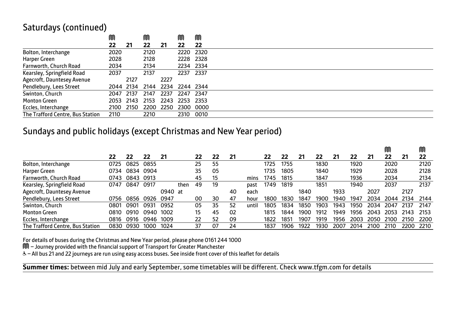#### Saturdays (continued)

|                                  | M         |           | M    |           | M                   | M         |
|----------------------------------|-----------|-----------|------|-----------|---------------------|-----------|
|                                  | 22        | 21        | 22   | 21        | 22                  | 22        |
| Bolton, Interchange              | 2020      |           | 2120 |           | 2220 2320           |           |
| Harper Green                     | 2028      |           | 2128 |           | 2228 2328           |           |
| Farnworth, Church Road           | 2034      |           | 2134 |           | 2234 2334           |           |
| Kearsley, Springfield Road       | 2037      |           | 2137 |           | 2237 2337           |           |
| Agecroft, Dauntesey Avenue       |           | 2127      |      | 2227      |                     |           |
| Pendlebury, Lees Street          |           | 2044 2134 |      |           | 2144 2234 2244 2344 |           |
| Swinton, Church                  | 2047 2137 |           | 2147 | 2237      | 2247 2347           |           |
| <b>Monton Green</b>              |           | 2053 2143 | 2153 |           | 2243 2253 2353      |           |
| Eccles, Interchange              |           | 2100 2150 |      | 2200 2250 |                     | 2300 0000 |
| The Trafford Centre, Bus Station | 2110      |           | 2210 |           | 2310 0010           |           |

#### Sundays and public holidays (except Christmas and New Year period)

|                                  |                  |      |      |         |      |    |    |    |       |      |      |      |      |      |      |      | M    |      | M    |
|----------------------------------|------------------|------|------|---------|------|----|----|----|-------|------|------|------|------|------|------|------|------|------|------|
|                                  | 22               | 22   | 22   | 21      |      | 22 | 22 | 21 |       | 22   | 22   | 21   | 22   | 21   | 22   | 21   | 22   | 21   | 22   |
| Bolton, Interchange              | 0725             | 0825 | 0855 |         |      | 25 | 55 |    |       | 1725 | 1755 |      | 1830 |      | 1920 |      | 2020 |      | 2120 |
| Harper Green                     | 0734             | 0834 | 0904 |         |      | 35 | 05 |    |       | 1735 | 1805 |      | 1840 |      | 1929 |      | 2028 |      | 2128 |
| Farnworth, Church Road           | 0743             | 0843 | 0913 |         |      | 45 | 15 |    | mins  | 1745 | 1815 |      | 1847 |      | 1936 |      | 2034 |      | 2134 |
| Kearsley, Springfield Road       | 0747             | 0847 | 0917 |         | then | 49 | 19 |    | past  | 1749 | 1819 |      | 1851 |      | 1940 |      | 2037 |      | 2137 |
| Agecroft, Dauntesey Avenue       |                  |      |      | 0940 at |      |    |    | 40 | each  |      |      | 1840 |      | 1933 |      | 2027 |      | 2127 |      |
| Pendlebury, Lees Street          | 0756             | 0856 | 0926 | 0947    |      | 00 | 30 | 47 | hour  | 1800 | 1830 | 1847 | 190C | 1940 | 1947 | 2034 | 2044 | 2134 | 2144 |
| Swinton, Church                  | 080 <sup>.</sup> | 0901 | 0931 | 0952    |      | 05 | 35 | 52 | until | 1805 | 1834 | 1850 | 1903 | 1943 | 1950 | 2034 | 2047 | 2137 | 2147 |
| <b>Monton Green</b>              | 0810             | 0910 | 0940 | 1002    |      | 15 | 45 | 02 |       | 1815 | 1844 | 1900 | 1912 | 1949 | 1956 | 2043 | 2053 | 2143 | 2153 |
| Eccles, Interchange              | 0816             | 0916 | 0946 | 1009    |      | 22 | 52 | 09 |       | 1822 | 1851 | 1907 | 1919 | 1956 | 2003 | 2050 | 2100 | 2150 | 2200 |
| The Trafford Centre, Bus Station | 0830             | 0930 | 1000 | 1024    |      | 37 | 07 | 24 |       | 1837 | 1906 | 1922 | 1930 | 2007 | 2014 | 2100 | 2110 | 2200 | 2210 |

For details of buses during the Christmas and New Year period, please phone 0161 244 1000

M – Journey provided with the financial support of Transport for Greater Manchester

& - All bus 21 and 22 journeys are run using easy access buses. See inside front cover of this leaflet for details

**Summer times:** between mid July and early September, some timetables will be different. Check www.tfgm.com for details